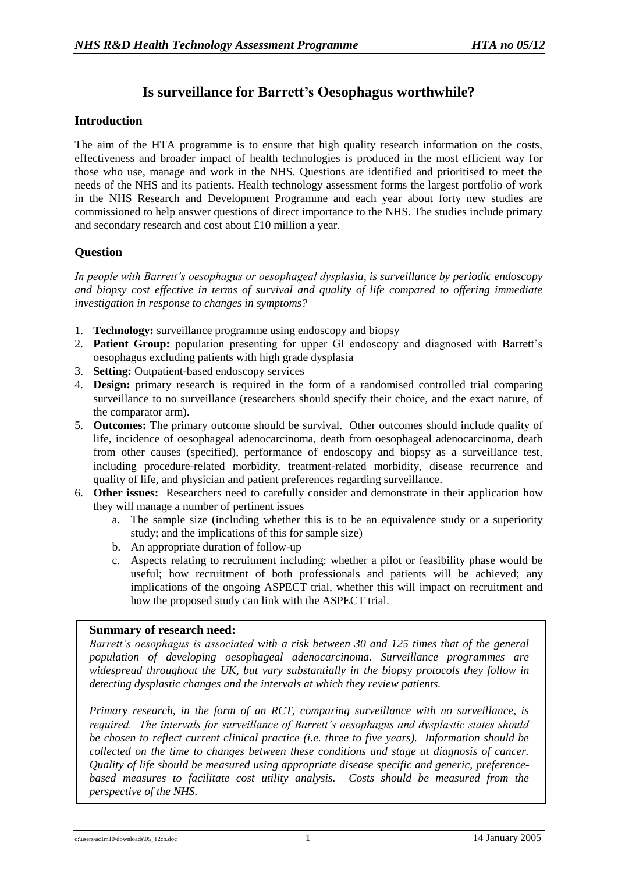# **Is surveillance for Barrett's Oesophagus worthwhile?**

#### **Introduction**

The aim of the HTA programme is to ensure that high quality research information on the costs, effectiveness and broader impact of health technologies is produced in the most efficient way for those who use, manage and work in the NHS. Questions are identified and prioritised to meet the needs of the NHS and its patients. Health technology assessment forms the largest portfolio of work in the NHS Research and Development Programme and each year about forty new studies are commissioned to help answer questions of direct importance to the NHS. The studies include primary and secondary research and cost about £10 million a year.

## **Question**

*In people with Barrett's oesophagus or oesophageal dysplasia, is surveillance by periodic endoscopy and biopsy cost effective in terms of survival and quality of life compared to offering immediate investigation in response to changes in symptoms?*

- 1. **Technology:** surveillance programme using endoscopy and biopsy
- 2. **Patient Group:** population presenting for upper GI endoscopy and diagnosed with Barrett's oesophagus excluding patients with high grade dysplasia
- 3. **Setting:** Outpatient-based endoscopy services
- 4. **Design:** primary research is required in the form of a randomised controlled trial comparing surveillance to no surveillance (researchers should specify their choice, and the exact nature, of the comparator arm).
- 5. **Outcomes:** The primary outcome should be survival. Other outcomes should include quality of life, incidence of oesophageal adenocarcinoma, death from oesophageal adenocarcinoma, death from other causes (specified), performance of endoscopy and biopsy as a surveillance test, including procedure-related morbidity, treatment-related morbidity, disease recurrence and quality of life, and physician and patient preferences regarding surveillance.
- 6. **Other issues:** Researchers need to carefully consider and demonstrate in their application how they will manage a number of pertinent issues
	- a. The sample size (including whether this is to be an equivalence study or a superiority study; and the implications of this for sample size)
	- b. An appropriate duration of follow-up
	- c. Aspects relating to recruitment including: whether a pilot or feasibility phase would be useful; how recruitment of both professionals and patients will be achieved; any implications of the ongoing ASPECT trial, whether this will impact on recruitment and how the proposed study can link with the ASPECT trial.

#### **Summary of research need:**

*Barrett's oesophagus is associated with a risk between 30 and 125 times that of the general population of developing oesophageal adenocarcinoma. Surveillance programmes are widespread throughout the UK, but vary substantially in the biopsy protocols they follow in detecting dysplastic changes and the intervals at which they review patients.* 

*Primary research, in the form of an RCT, comparing surveillance with no surveillance, is required. The intervals for surveillance of Barrett's oesophagus and dysplastic states should be chosen to reflect current clinical practice (i.e. three to five years). Information should be collected on the time to changes between these conditions and stage at diagnosis of cancer. Quality of life should be measured using appropriate disease specific and generic, preferencebased measures to facilitate cost utility analysis. Costs should be measured from the perspective of the NHS.*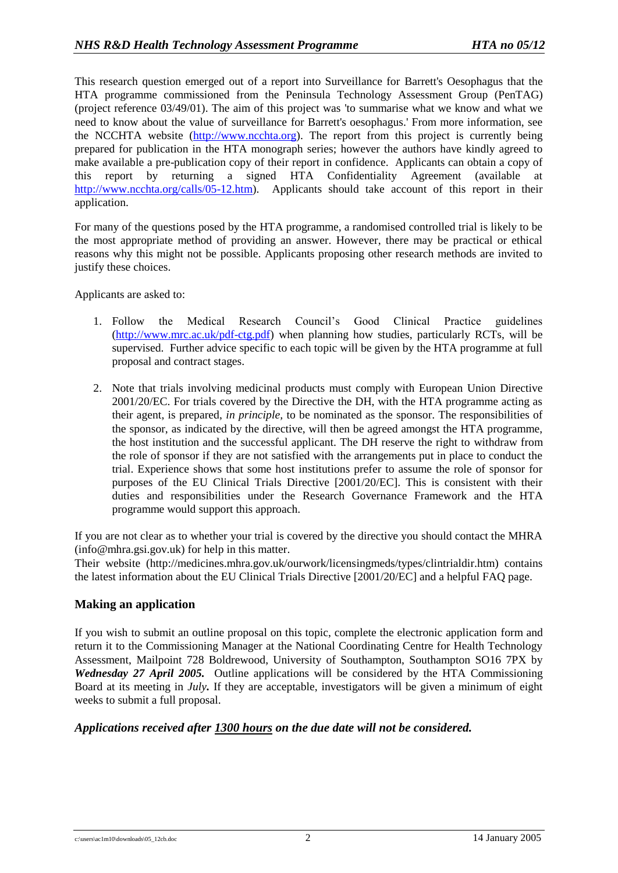This research question emerged out of a report into Surveillance for Barrett's Oesophagus that the HTA programme commissioned from the Peninsula Technology Assessment Group (PenTAG) (project reference 03/49/01). The aim of this project was 'to summarise what we know and what we need to know about the value of surveillance for Barrett's oesophagus.' From more information, see the NCCHTA website [\(http://www.ncchta.org\)](http://www.ncchta.org/). The report from this project is currently being prepared for publication in the HTA monograph series; however the authors have kindly agreed to make available a pre-publication copy of their report in confidence. Applicants can obtain a copy of this report by returning a signed HTA Confidentiality Agreement (available at [http://www.ncchta.org/calls/05-12.htm\)](http://www.ncchta.org/calls/05-12.htm). Applicants should take account of this report in their application.

For many of the questions posed by the HTA programme, a randomised controlled trial is likely to be the most appropriate method of providing an answer. However, there may be practical or ethical reasons why this might not be possible. Applicants proposing other research methods are invited to justify these choices.

Applicants are asked to:

- 1. Follow the Medical Research Council's Good Clinical Practice guidelines [\(http://www.mrc.ac.uk/pdf-ctg.pdf\)](http://www.mrc.ac.uk/pdf-ctg.pdf) when planning how studies, particularly RCTs, will be supervised. Further advice specific to each topic will be given by the HTA programme at full proposal and contract stages.
- 2. Note that trials involving medicinal products must comply with European Union Directive 2001/20/EC. For trials covered by the Directive the DH, with the HTA programme acting as their agent, is prepared, *in principle,* to be nominated as the sponsor. The responsibilities of the sponsor, as indicated by the directive, will then be agreed amongst the HTA programme, the host institution and the successful applicant. The DH reserve the right to withdraw from the role of sponsor if they are not satisfied with the arrangements put in place to conduct the trial. Experience shows that some host institutions prefer to assume the role of sponsor for purposes of the EU Clinical Trials Directive [2001/20/EC]. This is consistent with their duties and responsibilities under the Research Governance Framework and the HTA programme would support this approach.

If you are not clear as to whether your trial is covered by the directive you should contact the MHRA (info@mhra.gsi.gov.uk) for help in this matter.

Their website (http://medicines.mhra.gov.uk/ourwork/licensingmeds/types/clintrialdir.htm) contains the latest information about the EU Clinical Trials Directive [2001/20/EC] and a helpful FAQ page.

## **Making an application**

If you wish to submit an outline proposal on this topic, complete the electronic application form and return it to the Commissioning Manager at the National Coordinating Centre for Health Technology Assessment, Mailpoint 728 Boldrewood, University of Southampton, Southampton SO16 7PX by *Wednesday 27 April 2005.* Outline applications will be considered by the HTA Commissioning Board at its meeting in *July.* If they are acceptable, investigators will be given a minimum of eight weeks to submit a full proposal.

## *Applications received after 1300 hours on the due date will not be considered.*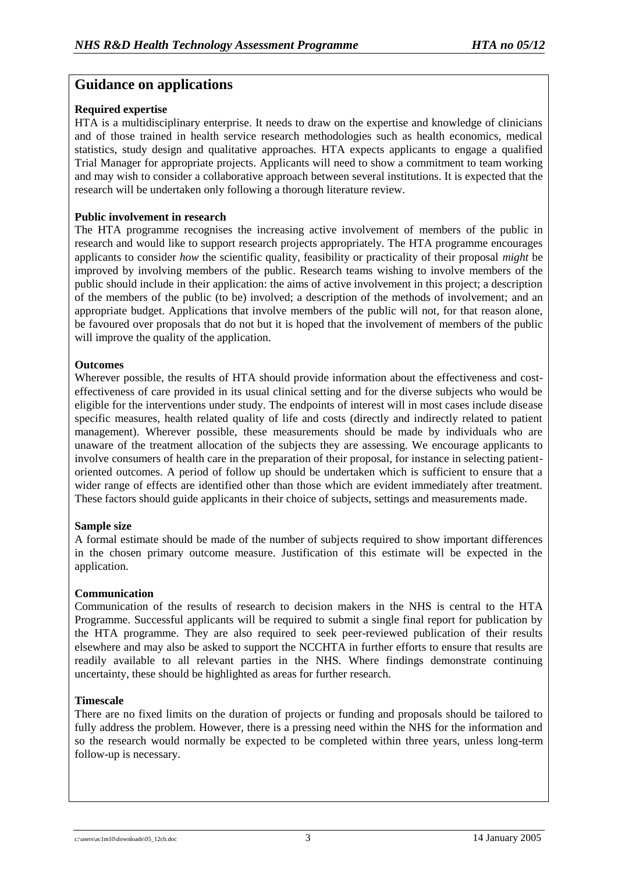# **Guidance on applications**

## **Required expertise**

HTA is a multidisciplinary enterprise. It needs to draw on the expertise and knowledge of clinicians and of those trained in health service research methodologies such as health economics, medical statistics, study design and qualitative approaches. HTA expects applicants to engage a qualified Trial Manager for appropriate projects. Applicants will need to show a commitment to team working and may wish to consider a collaborative approach between several institutions. It is expected that the research will be undertaken only following a thorough literature review.

#### **Public involvement in research**

The HTA programme recognises the increasing active involvement of members of the public in research and would like to support research projects appropriately. The HTA programme encourages applicants to consider *how* the scientific quality, feasibility or practicality of their proposal *might* be improved by involving members of the public. Research teams wishing to involve members of the public should include in their application: the aims of active involvement in this project; a description of the members of the public (to be) involved; a description of the methods of involvement; and an appropriate budget. Applications that involve members of the public will not, for that reason alone, be favoured over proposals that do not but it is hoped that the involvement of members of the public will improve the quality of the application.

#### **Outcomes**

Wherever possible, the results of HTA should provide information about the effectiveness and costeffectiveness of care provided in its usual clinical setting and for the diverse subjects who would be eligible for the interventions under study. The endpoints of interest will in most cases include disease specific measures, health related quality of life and costs (directly and indirectly related to patient management). Wherever possible, these measurements should be made by individuals who are unaware of the treatment allocation of the subjects they are assessing. We encourage applicants to involve consumers of health care in the preparation of their proposal, for instance in selecting patientoriented outcomes. A period of follow up should be undertaken which is sufficient to ensure that a wider range of effects are identified other than those which are evident immediately after treatment. These factors should guide applicants in their choice of subjects, settings and measurements made.

## **Sample size**

A formal estimate should be made of the number of subjects required to show important differences in the chosen primary outcome measure. Justification of this estimate will be expected in the application.

## **Communication**

Communication of the results of research to decision makers in the NHS is central to the HTA Programme. Successful applicants will be required to submit a single final report for publication by the HTA programme. They are also required to seek peer-reviewed publication of their results elsewhere and may also be asked to support the NCCHTA in further efforts to ensure that results are readily available to all relevant parties in the NHS. Where findings demonstrate continuing uncertainty, these should be highlighted as areas for further research.

#### **Timescale**

There are no fixed limits on the duration of projects or funding and proposals should be tailored to fully address the problem. However, there is a pressing need within the NHS for the information and so the research would normally be expected to be completed within three years, unless long-term follow-up is necessary.